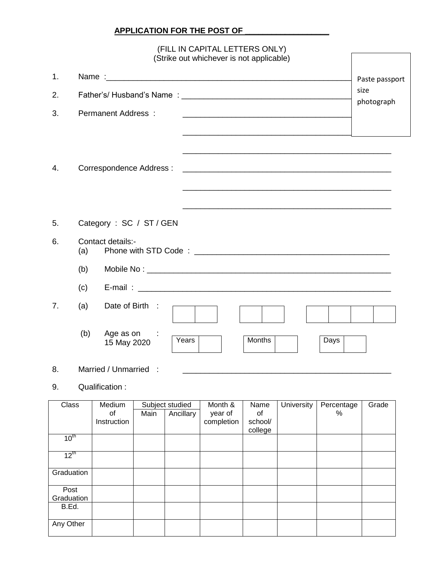## **APPLICATION FOR THE POST OF**

## (FILL IN CAPITAL LETTERS ONLY) (Strike out whichever is not applicable)

| 1.<br>2.<br>3. |     | Permanent Address:                                                                                                                                                                                                                                  | Paste passport<br>size<br>photograph |
|----------------|-----|-----------------------------------------------------------------------------------------------------------------------------------------------------------------------------------------------------------------------------------------------------|--------------------------------------|
| 4.             |     | Correspondence Address :                                                                                                                                                                                                                            |                                      |
| 5.             |     | Category: SC / ST / GEN                                                                                                                                                                                                                             |                                      |
| 6.             | (a) | Contact details:-<br>Phone with STD Code : New York Contract the Contract of the Contract of the Contract of the Contract of the Contract of the Contract of the Contract of the Contract of the Contract of the Contract of the Contract of the Co |                                      |
|                | (b) |                                                                                                                                                                                                                                                     |                                      |
|                | (c) |                                                                                                                                                                                                                                                     |                                      |
| 7 <sub>1</sub> | (a) | Date of Birth :                                                                                                                                                                                                                                     |                                      |
|                | (b) | Age as on :<br><b>Months</b><br>Years<br>Days<br>15 May 2020                                                                                                                                                                                        |                                      |
| 8.             |     | Married / Unmarried :                                                                                                                                                                                                                               |                                      |

## 9. Qualification :

| Class            | Medium      |      | Subject studied | Month &    | Name    | University | Percentage | Grade |
|------------------|-------------|------|-----------------|------------|---------|------------|------------|-------|
|                  | of          | Main | Ancillary       | year of    | οf      |            | %          |       |
|                  | Instruction |      |                 | completion | school/ |            |            |       |
|                  |             |      |                 |            | college |            |            |       |
| $10^{\text{th}}$ |             |      |                 |            |         |            |            |       |
|                  |             |      |                 |            |         |            |            |       |
| $12^{th}$        |             |      |                 |            |         |            |            |       |
|                  |             |      |                 |            |         |            |            |       |
| Graduation       |             |      |                 |            |         |            |            |       |
|                  |             |      |                 |            |         |            |            |       |
| Post             |             |      |                 |            |         |            |            |       |
| Graduation       |             |      |                 |            |         |            |            |       |
| B.Ed.            |             |      |                 |            |         |            |            |       |
|                  |             |      |                 |            |         |            |            |       |
| Any Other        |             |      |                 |            |         |            |            |       |
|                  |             |      |                 |            |         |            |            |       |